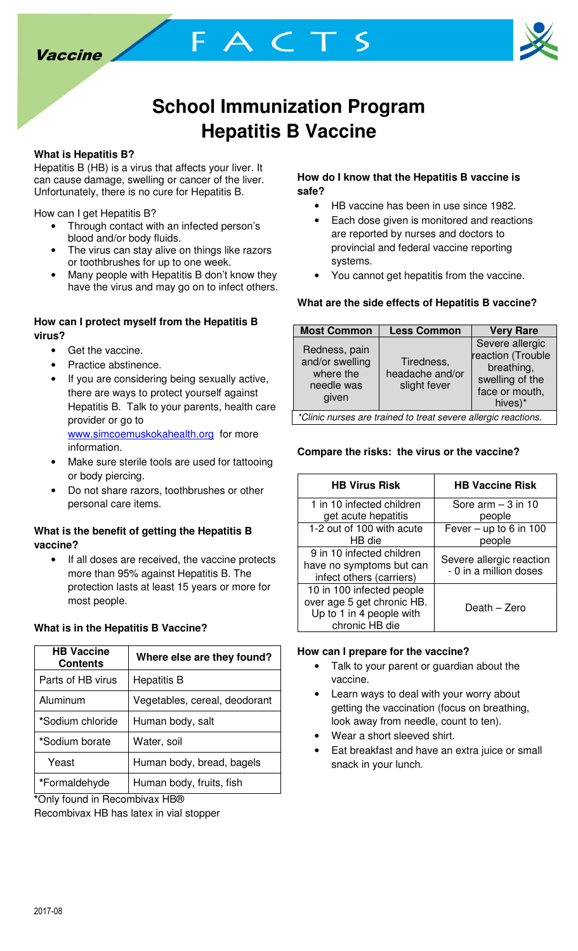



## **School Immunization Program Hepatitis B Vaccine**

FACTS

## **What is Hepatitis B?**

Hepatitis B (HB) is a virus that affects your liver. It can cause damage, swelling or cancer of the liver. Unfortunately, there is no cure for Hepatitis B.

How can I get Hepatitis B?

- Through contact with an infected person's blood and/or body fluids.
- The virus can stay alive on things like razors or toothbrushes for up to one week.
- Many people with Hepatitis B don't know they have the virus and may go on to infect others.

## **How can I protect myself from the Hepatitis B virus?**

- Get the vaccine.
- Practice abstinence.
- If you are considering being sexually active, there are ways to protect yourself against Hepatitis B. Talk to your parents, health care provider or go to www.simcoemuskokahealth.org for more information.
- Make sure sterile tools are used for tattooing or body piercing.
- Do not share razors, toothbrushes or other personal care items.

## **What is the benefit of getting the Hepatitis B vaccine?**

• If all doses are received, the vaccine protects more than 95% against Hepatitis B. The protection lasts at least 15 years or more for most people.

## **What is in the Hepatitis B Vaccine?**

| <b>HB Vaccine</b><br><b>Contents</b> | Where else are they found?    |
|--------------------------------------|-------------------------------|
| Parts of HB virus                    | <b>Hepatitis B</b>            |
| Aluminum                             | Vegetables, cereal, deodorant |
| *Sodium chloride                     | Human body, salt              |
| *Sodium borate                       | Water, soil                   |
| Yeast                                | Human body, bread, bagels     |
| *Formaldehyde                        | Human body, fruits, fish      |

**\***Only found in Recombivax HB®

Recombivax HB has latex in vial stopper

### **How do I know that the Hepatitis B vaccine is safe?**

- HB vaccine has been in use since 1982.
- Each dose given is monitored and reactions are reported by nurses and doctors to provincial and federal vaccine reporting systems.
- You cannot get hepatitis from the vaccine.

## **What are the side effects of Hepatitis B vaccine?**

| <b>Most Common</b>                                                   | <b>Less Common</b>                            | <b>Very Rare</b>                                                                                   |  |
|----------------------------------------------------------------------|-----------------------------------------------|----------------------------------------------------------------------------------------------------|--|
| Redness, pain<br>and/or swelling<br>where the<br>needle was<br>given | Tiredness,<br>headache and/or<br>slight fever | Severe allergic<br>reaction (Trouble<br>breathing,<br>swelling of the<br>face or mouth,<br>hives)* |  |
| *Clinic nurses are trained to treat severe allergic reactions.       |                                               |                                                                                                    |  |

## **Compare the risks: the virus or the vaccine?**

| <b>HB Virus Risk</b>                                                                                  | <b>HB Vaccine Risk</b>                             |  |
|-------------------------------------------------------------------------------------------------------|----------------------------------------------------|--|
| 1 in 10 infected children<br>get acute hepatitis                                                      | Sore $arm - 3$ in 10<br>people                     |  |
| 1-2 out of 100 with acute<br>HB die                                                                   | Fever – up to 6 in 100<br>people                   |  |
| 9 in 10 infected children<br>have no symptoms but can<br>infect others (carriers)                     | Severe allergic reaction<br>- 0 in a million doses |  |
| 10 in 100 infected people<br>over age 5 get chronic HB.<br>Up to 1 in 4 people with<br>chronic HB die | Death - Zero                                       |  |

#### **How can I prepare for the vaccine?**

- Talk to your parent or guardian about the vaccine.
- Learn ways to deal with your worry about getting the vaccination (focus on breathing, look away from needle, count to ten).
- Wear a short sleeved shirt.
- Eat breakfast and have an extra juice or small snack in your lunch.